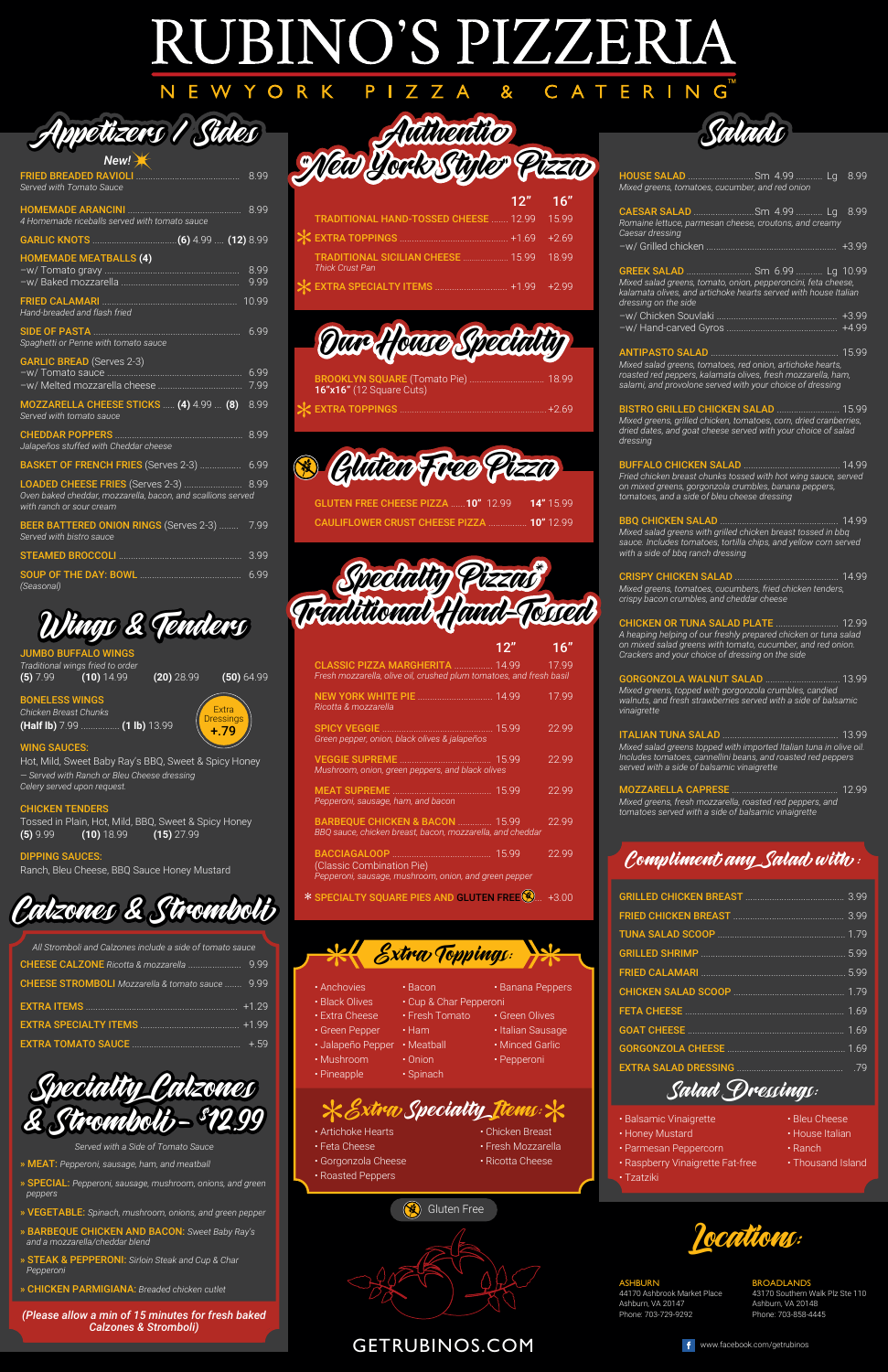### **JBINO'S PIZZERI**  $\bm A$ RI ATERING

PIZZ

W

YORK

| GRILLED CHICKEN BREAST 399                                                                                                     |  |
|--------------------------------------------------------------------------------------------------------------------------------|--|
| <b>FRIED CHICKEN BREAST MANUAL SERIED CHICKEN BREAST MANUAL SERIED CHICKEN BREAST MANUAL SERIED SERIED SERIED SERIED STATE</b> |  |
|                                                                                                                                |  |
|                                                                                                                                |  |
|                                                                                                                                |  |
|                                                                                                                                |  |

FETA CHEESE .................................................................. 1.69 GOAT CHEESE ................................................................. 1.69 GORGONZOLA CHEESE ................................................. 1.69 EXTRA SALAD DRESSING ............................................ .79

|  | Compliment any Salad with : |
|--|-----------------------------|
|  |                             |

- Artichoke Hearts Chicken Breast
- Feta Cheese Fresh Mozzarella
- Gorgonzola Cheese Ricotta Cheese
- Roasted Peppers

Salad Dressings:

- Balsamic Vinaigrette  **Bleu Cheese** 
	-
- Parmesan Peppercorn Ranch
- Raspberry Vinaigrette Fat-free Thousand Island
- Tzatziki
- 
- Honey Mustard  **House Italian** 
	-
	-



ASHBURN 44170 Ashbrook Market Place Ashburn, VA 20147 Phone: 703-729-9292

#### BROADLANDS

43170 Southern Walk Plz Ste 110 Ashburn, VA 20148 Phone: 703-858-4445



GETRUBINOS.COM





JUMBO BUFFALO WINGS *Traditional wings fried to order*

**(5)** 7.99 **(10)** 14.99 **(20)** 28.99 **(50)** 64.99

BONELESS WINGS

*Chicken Breast Chunks* **(Half lb)** 7.99 ................ **(1 lb)** 13.99

WING SAUCES:

Hot, Mild, Sweet Baby Ray's BBQ, Sweet & Spicy Honey *— Served with Ranch or Bleu Cheese dressing Celery served upon request.*

#### CHICKEN TENDERS

Tossed in Plain, Hot, Mild, BBQ, Sweet & Spicy Honey **(5)** 9.99 **(10)** 18.99 **(15)** 27.99

#### DIPPING SAUCES:

Ranch, Bleu Cheese, BBQ Sauce Honey Mustard

| All Stromboli and Calzones include a side of tomato sauce |         |
|-----------------------------------------------------------|---------|
|                                                           |         |
| <b>CHEESE STROMBOLI</b> Mozzarella & tomato sauce  9.99   |         |
|                                                           | $+1.29$ |

- » MEAT: *Pepperoni, sausage, ham, and meatball*
- » SPECIAL: *Pepperoni, sausage, mushroom, onions, and green peppers*
- » VEGETABLE: *Spinach, mushroom, onions, and green pepper*
- » BARBEQUE CHICKEN AND BACON: *Sweet Baby Ray's and a mozzarella/cheddar blend*
- » STEAK & PEPPERONI: *Sirloin Steak and Cup & Char Pepperoni*
- » CHICKEN PARMIGIANA: *Breaded chicken cutlet*

*(Please allow a min of 15 minutes for fresh baked Calzones & Stromboli)*

• Extra Cheese • Fresh Tomato • Green Olives • Green Pepper • Ham • Italian Sausage • Jalapeño Pepper • Meatball • Minced Garlic • Mushroom • Onion • Pepperoni • Pineapple • Spinach

Extr*a* Specialty <u>I</u>tems::

| BROOKLYN SQUARE (Tomato Pie)  18.99<br>16"x16" (12 Square Cuts) |  |
|-----------------------------------------------------------------|--|
|                                                                 |  |

GLUTEN FREE CHEESE PIZZA ...... **10"** 12.99 **14"** 15.99 CAULIFLOWER CRUST CHEESE PIZZA ................ **10"** 12.99

| New!                                                                                    |      |
|-----------------------------------------------------------------------------------------|------|
| Served with Tomato Sauce                                                                |      |
| 4 Homemade riceballs served with tomato sauce                                           |      |
|                                                                                         |      |
| <b>HOMEMADE MEATBALLS (4)</b>                                                           |      |
| Hand-breaded and flash fried                                                            |      |
| SIDE OF PASTA <b>And CONSTRUCTED BY PASTA</b><br>Spaghetti or Penne with tomato sauce   | 699  |
| <b>GARLIC BREAD</b> (Serves 2-3)                                                        | 7.99 |
| MOZZARELLA CHEESE STICKS  (4) 4.99  (8)<br>Served with tomato sauce                     | 8.99 |
| Jalapeños stuffed with Cheddar cheese                                                   | 8.99 |
| BASKET OF FRENCH FRIES (Serves 2-3)  6.99                                               |      |
| Oven baked cheddar, mozzarella, bacon, and scallions served<br>with ranch or sour cream |      |
| <b>BEER BATTERED ONION RINGS (Serves 2-3) </b><br>Served with bistro sauce              | 7.99 |
|                                                                                         | 3.99 |
| (Seasonal)                                                                              | 6.99 |

|                                                                                                              | 12" | 16''  |
|--------------------------------------------------------------------------------------------------------------|-----|-------|
| CLASSIC PIZZA MARGHERITA  14.99 17.99<br>Fresh mozzarella, olive oil, crushed plum tomatoes, and fresh basil |     |       |
| Ricotta & mozzarella                                                                                         |     | 17.99 |
| Green pepper, onion, black olives & jalapeños                                                                |     | 22.99 |
| Mushroom, onion, green peppers, and black olives                                                             |     | 22.99 |
| Pepperoni, sausage, ham, and bacon                                                                           |     | 22.99 |
| <b>BARBEQUE CHICKEN &amp; BACON  15.99</b><br>BBQ sauce, chicken breast, bacon, mozzarella, and cheddar      |     | 22.99 |
| (Classic Combination Pie)<br>Pepperoni, sausage, mushroom, onion, and green pepper                           |     | 22.99 |
| SPECIALTY SQUARE PIES AND GLUTEN FREE <sup>8</sup> +3.00                                                     |     |       |

#### $\sqrt{2}$ Extra Toppings:  $\mathcal{N}$

• Black Olives • Cup & Char Pepperoni

• Anchovies • Bacon • **Banana Peppers** 

| Mixed greens, tomatoes, cucumber, and red onion     | HOUSE SALAD  Sm 4.99  Lg 8.99                                                                                                                                                           |          |
|-----------------------------------------------------|-----------------------------------------------------------------------------------------------------------------------------------------------------------------------------------------|----------|
| Caesar dressing                                     | Romaine lettuce, parmesan cheese, croutons, and creamy                                                                                                                                  |          |
|                                                     |                                                                                                                                                                                         |          |
| dressing on the side                                | GREEK SALAD  Sm 6.99  Lg 10.99<br>Mixed salad greens, tomato, onion, pepperoncini, feta cheese,<br>kalamata olives, and artichoke hearts served with house Italian                      |          |
|                                                     |                                                                                                                                                                                         |          |
|                                                     | Mixed salad greens, tomatoes, red onion, artichoke hearts,<br>roasted red peppers, kalamata olives, fresh mozzarella, ham,<br>salami, and provolone served with your choice of dressing |          |
| dressing                                            | BISTRO GRILLED CHICKEN SALAD  15.99<br>Mixed greens, grilled chicken, tomatoes, corn, dried cranberries,<br>dried dates, and goat cheese served with your choice of salad               |          |
| tomatoes, and a side of bleu cheese dressing        | Fried chicken breast chunks tossed with hot wing sauce, served<br>on mixed greens, gorgonzola crumbles, banana peppers,                                                                 |          |
| with a side of bbq ranch dressing                   | Mixed salad greens with grilled chicken breast tossed in bbg<br>sauce. Includes tomatoes, tortilla chips, and yellow corn served                                                        |          |
| crispy bacon crumbles, and cheddar cheese           | Mixed greens, tomatoes, cucumbers, fried chicken tenders,                                                                                                                               |          |
| Crackers and your choice of dressing on the side    | A heaping helping of our freshly prepared chicken or tuna salad<br>on mixed salad greens with tomato, cucumber, and red onion.                                                          |          |
| vinaigrette                                         | GORGONZOLA WALNUT SALAD  13.99<br>Mixed greens, topped with gorgonzola crumbles, candied<br>walnuts, and fresh strawberries served with a side of balsamic                              |          |
| served with a side of balsamic vinaigrette          | ITALIAN TUNA SALAD <b>WARD WARFER</b><br>Mixed salad greens topped with imported Italian tuna in olive oil.<br>Includes tomatoes, cannellini beans, and roasted red peppers             | …. 13.99 |
|                                                     |                                                                                                                                                                                         | …. 12.99 |
| tomatoes served with a side of balsamic vinaigrette | Mixed greens, fresh mozzarella, roasted red peppers, and                                                                                                                                |          |
|                                                     | Poundingont, any Calad, with                                                                                                                                                            |          |

*Served with a Side of Tomato Sauce*





## Wings & Tenders



 $\overline{\mathsf{A}}$ 

C









|                        | $12"$ 16" |                                                                                         |
|------------------------|-----------|-----------------------------------------------------------------------------------------|
|                        |           |                                                                                         |
|                        |           |                                                                                         |
| <b>Thick Crust Pan</b> |           |                                                                                         |
|                        |           |                                                                                         |
|                        |           | TRADITIONAL HAND-TOSSED CHEESE  12.99 15.99<br>TRADITIONAL SICILIAN CHEESE  15.99 18.99 |